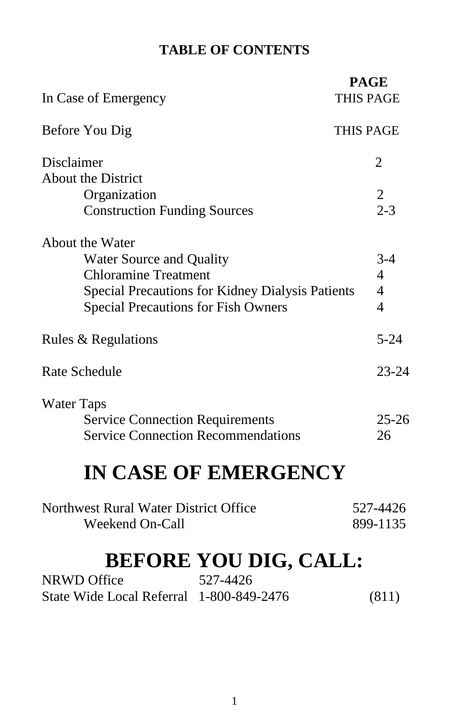# **TABLE OF CONTENTS**

| In Case of Emergency                                    | <b>PAGE</b><br><b>THIS PAGE</b> |
|---------------------------------------------------------|---------------------------------|
| Before You Dig                                          | THIS PAGE                       |
| Disclaimer                                              | $\overline{2}$                  |
| <b>About the District</b>                               |                                 |
| Organization                                            | $\overline{2}$                  |
| <b>Construction Funding Sources</b>                     | $2 - 3$                         |
| About the Water                                         |                                 |
| Water Source and Quality                                | $3-4$                           |
| <b>Chloramine Treatment</b>                             | $\overline{4}$                  |
| <b>Special Precautions for Kidney Dialysis Patients</b> | $\overline{4}$                  |
| <b>Special Precautions for Fish Owners</b>              | $\overline{4}$                  |
| Rules & Regulations                                     | $5 - 24$                        |
| <b>Rate Schedule</b>                                    | $23 - 24$                       |
| Water Taps                                              |                                 |
| <b>Service Connection Requirements</b>                  | $25 - 26$                       |
| <b>Service Connection Recommendations</b>               | 26                              |
| <b>IN CASE OF EMERGENCY</b>                             |                                 |
| Northwest Rural Water District Office                   | 527-4426                        |
| <b>Weekend On-Call</b>                                  | 899-1135                        |
| <b>BEFORE YOU DIG, CALL:</b>                            |                                 |
| 527-4426<br><b>NRWD Office</b>                          |                                 |
| State Wide Local Referral 1-800-849-2476                | (811)                           |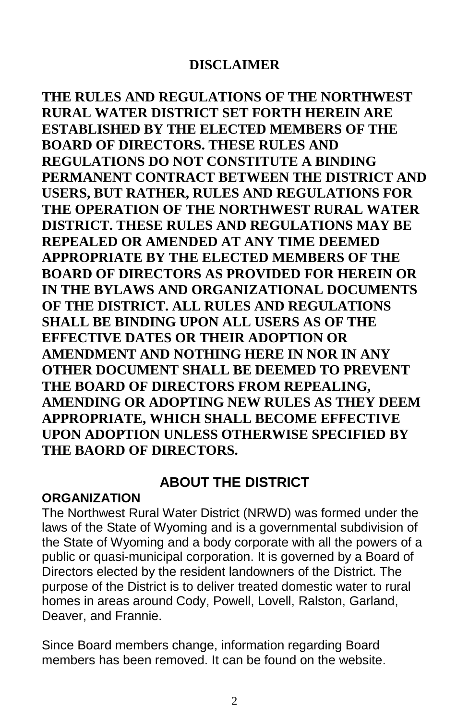**THE RULES AND REGULATIONS OF THE NORTHWEST RURAL WATER DISTRICT SET FORTH HEREIN ARE ESTABLISHED BY THE ELECTED MEMBERS OF THE BOARD OF DIRECTORS. THESE RULES AND REGULATIONS DO NOT CONSTITUTE A BINDING PERMANENT CONTRACT BETWEEN THE DISTRICT AND USERS, BUT RATHER, RULES AND REGULATIONS FOR THE OPERATION OF THE NORTHWEST RURAL WATER DISTRICT. THESE RULES AND REGULATIONS MAY BE REPEALED OR AMENDED AT ANY TIME DEEMED APPROPRIATE BY THE ELECTED MEMBERS OF THE BOARD OF DIRECTORS AS PROVIDED FOR HEREIN OR IN THE BYLAWS AND ORGANIZATIONAL DOCUMENTS OF THE DISTRICT. ALL RULES AND REGULATIONS SHALL BE BINDING UPON ALL USERS AS OF THE EFFECTIVE DATES OR THEIR ADOPTION OR AMENDMENT AND NOTHING HERE IN NOR IN ANY OTHER DOCUMENT SHALL BE DEEMED TO PREVENT THE BOARD OF DIRECTORS FROM REPEALING, AMENDING OR ADOPTING NEW RULES AS THEY DEEM APPROPRIATE, WHICH SHALL BECOME EFFECTIVE UPON ADOPTION UNLESS OTHERWISE SPECIFIED BY THE BAORD OF DIRECTORS.**

# **ABOUT THE DISTRICT**

#### **ORGANIZATION**

The Northwest Rural Water District (NRWD) was formed under the laws of the State of Wyoming and is a governmental subdivision of the State of Wyoming and a body corporate with all the powers of a public or quasi-municipal corporation. It is governed by a Board of Directors elected by the resident landowners of the District. The purpose of the District is to deliver treated domestic water to rural homes in areas around Cody, Powell, Lovell, Ralston, Garland, Deaver, and Frannie.

Since Board members change, information regarding Board members has been removed. It can be found on the website.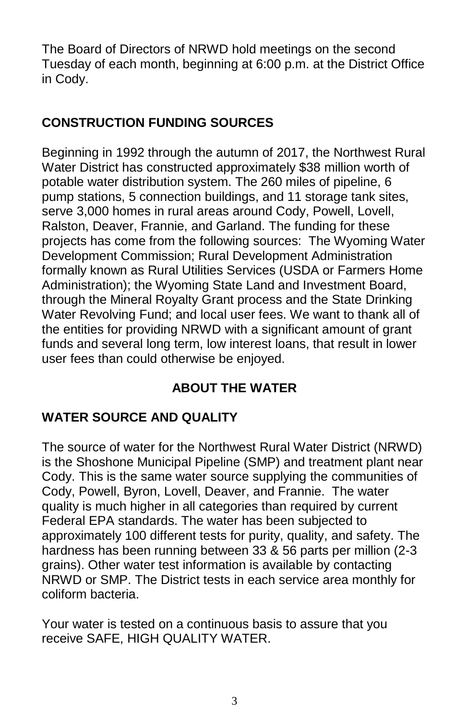The Board of Directors of NRWD hold meetings on the second Tuesday of each month, beginning at 6:00 p.m. at the District Office in Cody.

# **CONSTRUCTION FUNDING SOURCES**

Beginning in 1992 through the autumn of 2017, the Northwest Rural Water District has constructed approximately \$38 million worth of potable water distribution system. The 260 miles of pipeline, 6 pump stations, 5 connection buildings, and 11 storage tank sites, serve 3,000 homes in rural areas around Cody, Powell, Lovell, Ralston, Deaver, Frannie, and Garland. The funding for these projects has come from the following sources: The Wyoming Water Development Commission; Rural Development Administration formally known as Rural Utilities Services (USDA or Farmers Home Administration); the Wyoming State Land and Investment Board, through the Mineral Royalty Grant process and the State Drinking Water Revolving Fund; and local user fees. We want to thank all of the entities for providing NRWD with a significant amount of grant funds and several long term, low interest loans, that result in lower user fees than could otherwise be enjoyed.

# **ABOUT THE WATER**

# **WATER SOURCE AND QUALITY**

The source of water for the Northwest Rural Water District (NRWD) is the Shoshone Municipal Pipeline (SMP) and treatment plant near Cody. This is the same water source supplying the communities of Cody, Powell, Byron, Lovell, Deaver, and Frannie. The water quality is much higher in all categories than required by current Federal EPA standards. The water has been subjected to approximately 100 different tests for purity, quality, and safety. The hardness has been running between 33 & 56 parts per million (2-3 grains). Other water test information is available by contacting NRWD or SMP. The District tests in each service area monthly for coliform bacteria.

Your water is tested on a continuous basis to assure that you receive SAFE, HIGH QUALITY WATER.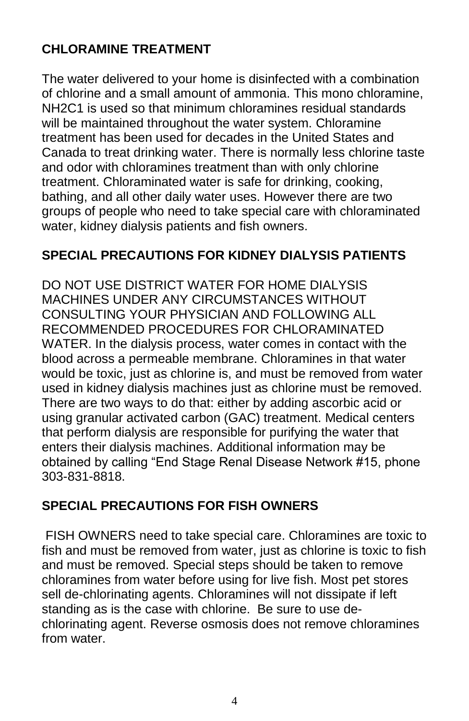# **CHLORAMINE TREATMENT**

The water delivered to your home is disinfected with a combination of chlorine and a small amount of ammonia. This mono chloramine, NH2C1 is used so that minimum chloramines residual standards will be maintained throughout the water system. Chloramine treatment has been used for decades in the United States and Canada to treat drinking water. There is normally less chlorine taste and odor with chloramines treatment than with only chlorine treatment. Chloraminated water is safe for drinking, cooking, bathing, and all other daily water uses. However there are two groups of people who need to take special care with chloraminated water, kidney dialysis patients and fish owners.

### **SPECIAL PRECAUTIONS FOR KIDNEY DIALYSIS PATIENTS**

DO NOT USE DISTRICT WATER FOR HOME DIALYSIS MACHINES UNDER ANY CIRCUMSTANCES WITHOUT CONSULTING YOUR PHYSICIAN AND FOLLOWING ALL RECOMMENDED PROCEDURES FOR CHLORAMINATED WATER. In the dialysis process, water comes in contact with the blood across a permeable membrane. Chloramines in that water would be toxic, just as chlorine is, and must be removed from water used in kidney dialysis machines just as chlorine must be removed. There are two ways to do that: either by adding ascorbic acid or using granular activated carbon (GAC) treatment. Medical centers that perform dialysis are responsible for purifying the water that enters their dialysis machines. Additional information may be obtained by calling "End Stage Renal Disease Network #15, phone 303-831-8818.

# **SPECIAL PRECAUTIONS FOR FISH OWNERS**

FISH OWNERS need to take special care. Chloramines are toxic to fish and must be removed from water, just as chlorine is toxic to fish and must be removed. Special steps should be taken to remove chloramines from water before using for live fish. Most pet stores sell de-chlorinating agents. Chloramines will not dissipate if left standing as is the case with chlorine. Be sure to use dechlorinating agent. Reverse osmosis does not remove chloramines from water.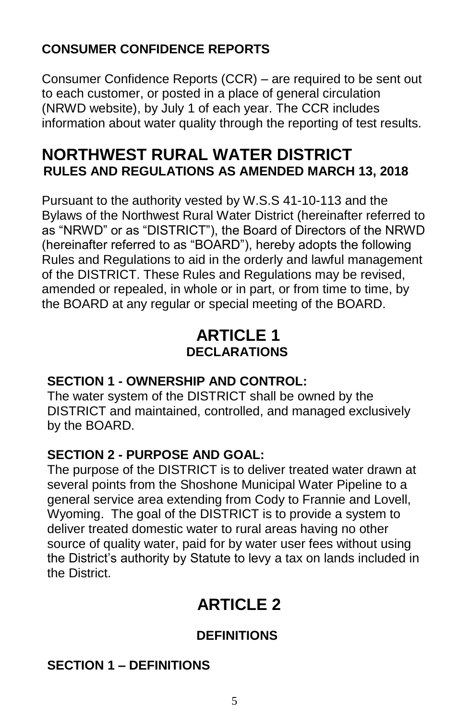# **CONSUMER CONFIDENCE REPORTS**

Consumer Confidence Reports (CCR) – are required to be sent out to each customer, or posted in a place of general circulation (NRWD website), by July 1 of each year. The CCR includes information about water quality through the reporting of test results.

# **NORTHWEST RURAL WATER DISTRICT RULES AND REGULATIONS AS AMENDED MARCH 13, 2018**

Pursuant to the authority vested by W.S.S 41-10-113 and the Bylaws of the Northwest Rural Water District (hereinafter referred to as "NRWD" or as "DISTRICT"), the Board of Directors of the NRWD (hereinafter referred to as "BOARD"), hereby adopts the following Rules and Regulations to aid in the orderly and lawful management of the DISTRICT. These Rules and Regulations may be revised, amended or repealed, in whole or in part, or from time to time, by the BOARD at any regular or special meeting of the BOARD.

# **ARTICLE 1 DECLARATIONS**

# **SECTION 1 - OWNERSHIP AND CONTROL:**

The water system of the DISTRICT shall be owned by the DISTRICT and maintained, controlled, and managed exclusively by the BOARD.

# **SECTION 2 - PURPOSE AND GOAL:**

The purpose of the DISTRICT is to deliver treated water drawn at several points from the Shoshone Municipal Water Pipeline to a general service area extending from Cody to Frannie and Lovell, Wyoming. The goal of the DISTRICT is to provide a system to deliver treated domestic water to rural areas having no other source of quality water, paid for by water user fees without using the District's authority by Statute to levy a tax on lands included in the District.

# **ARTICLE 2**

# **DEFINITIONS**

# **SECTION 1 – DEFINITIONS**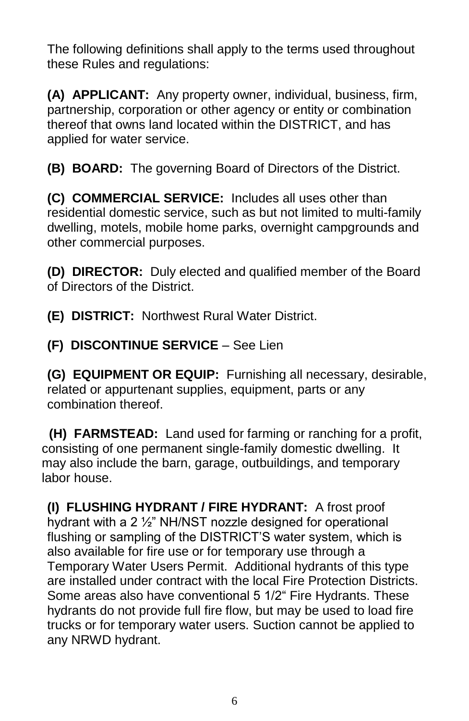The following definitions shall apply to the terms used throughout these Rules and regulations:

**(A) APPLICANT:** Any property owner, individual, business, firm, partnership, corporation or other agency or entity or combination thereof that owns land located within the DISTRICT, and has applied for water service.

**(B) BOARD:** The governing Board of Directors of the District.

**(C) COMMERCIAL SERVICE:** Includes all uses other than residential domestic service, such as but not limited to multi-family dwelling, motels, mobile home parks, overnight campgrounds and other commercial purposes.

**(D) DIRECTOR:** Duly elected and qualified member of the Board of Directors of the District.

**(E) DISTRICT:** Northwest Rural Water District.

**(F) DISCONTINUE SERVICE** – See Lien

**(G) EQUIPMENT OR EQUIP:** Furnishing all necessary, desirable, related or appurtenant supplies, equipment, parts or any combination thereof.

 **(H) FARMSTEAD:** Land used for farming or ranching for a profit, consisting of one permanent single-family domestic dwelling. It may also include the barn, garage, outbuildings, and temporary labor house.

**(I) FLUSHING HYDRANT / FIRE HYDRANT:** A frost proof hydrant with a 2 ½" NH/NST nozzle designed for operational flushing or sampling of the DISTRICT'S water system, which is also available for fire use or for temporary use through a Temporary Water Users Permit. Additional hydrants of this type are installed under contract with the local Fire Protection Districts. Some areas also have conventional 5 1/2" Fire Hydrants. These hydrants do not provide full fire flow, but may be used to load fire trucks or for temporary water users. Suction cannot be applied to any NRWD hydrant.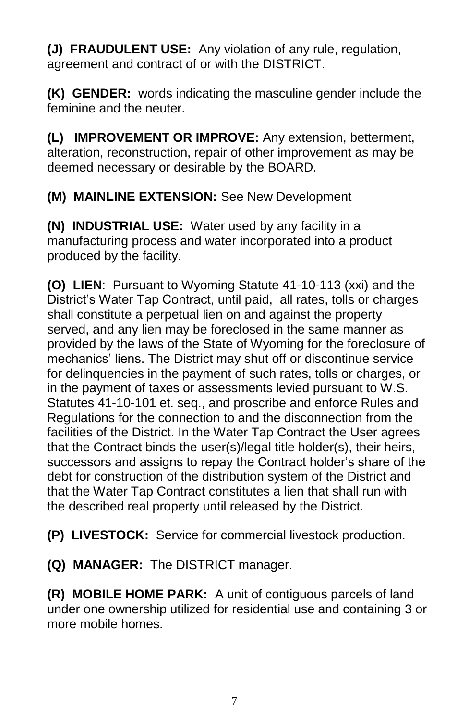**(J) FRAUDULENT USE:** Any violation of any rule, regulation, agreement and contract of or with the DISTRICT.

**(K) GENDER:** words indicating the masculine gender include the feminine and the neuter.

**(L) IMPROVEMENT OR IMPROVE:** Any extension, betterment, alteration, reconstruction, repair of other improvement as may be deemed necessary or desirable by the BOARD.

**(M) MAINLINE EXTENSION:** See New Development

**(N) INDUSTRIAL USE:** Water used by any facility in a manufacturing process and water incorporated into a product produced by the facility.

**(O) LIEN**: Pursuant to Wyoming Statute 41-10-113 (xxi) and the District's Water Tap Contract, until paid, all rates, tolls or charges shall constitute a perpetual lien on and against the property served, and any lien may be foreclosed in the same manner as provided by the laws of the State of Wyoming for the foreclosure of mechanics' liens. The District may shut off or discontinue service for delinquencies in the payment of such rates, tolls or charges, or in the payment of taxes or assessments levied pursuant to W.S. Statutes 41-10-101 et. seq., and proscribe and enforce Rules and Regulations for the connection to and the disconnection from the facilities of the District. In the Water Tap Contract the User agrees that the Contract binds the user(s)/legal title holder(s), their heirs, successors and assigns to repay the Contract holder's share of the debt for construction of the distribution system of the District and that the Water Tap Contract constitutes a lien that shall run with the described real property until released by the District.

**(P) LIVESTOCK:** Service for commercial livestock production.

**(Q) MANAGER:** The DISTRICT manager.

**(R) MOBILE HOME PARK:** A unit of contiguous parcels of land under one ownership utilized for residential use and containing 3 or more mobile homes.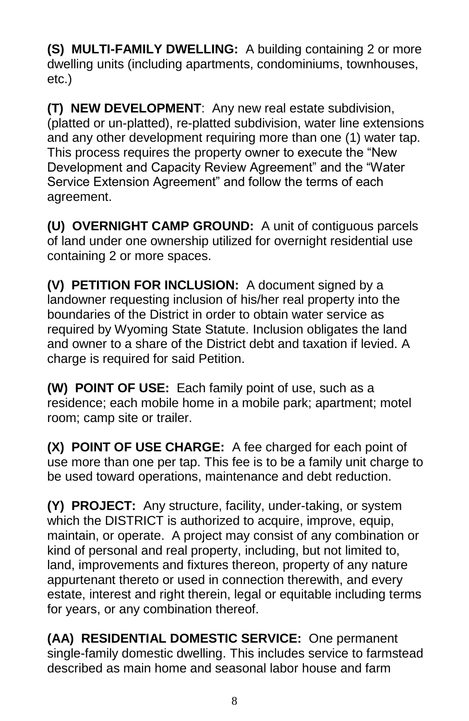**(S) MULTI-FAMILY DWELLING:** A building containing 2 or more dwelling units (including apartments, condominiums, townhouses, etc.)

**(T) NEW DEVELOPMENT**: Any new real estate subdivision, (platted or un-platted), re-platted subdivision, water line extensions and any other development requiring more than one (1) water tap. This process requires the property owner to execute the "New Development and Capacity Review Agreement" and the "Water Service Extension Agreement" and follow the terms of each agreement.

**(U) OVERNIGHT CAMP GROUND:** A unit of contiguous parcels of land under one ownership utilized for overnight residential use containing 2 or more spaces.

**(V) PETITION FOR INCLUSION:** A document signed by a landowner requesting inclusion of his/her real property into the boundaries of the District in order to obtain water service as required by Wyoming State Statute. Inclusion obligates the land and owner to a share of the District debt and taxation if levied. A charge is required for said Petition.

**(W) POINT OF USE:** Each family point of use, such as a residence; each mobile home in a mobile park; apartment; motel room; camp site or trailer.

**(X) POINT OF USE CHARGE:** A fee charged for each point of use more than one per tap. This fee is to be a family unit charge to be used toward operations, maintenance and debt reduction.

**(Y) PROJECT:** Any structure, facility, under-taking, or system which the DISTRICT is authorized to acquire, improve, equip, maintain, or operate. A project may consist of any combination or kind of personal and real property, including, but not limited to, land, improvements and fixtures thereon, property of any nature appurtenant thereto or used in connection therewith, and every estate, interest and right therein, legal or equitable including terms for years, or any combination thereof.

**(AA) RESIDENTIAL DOMESTIC SERVICE:** One permanent single-family domestic dwelling. This includes service to farmstead described as main home and seasonal labor house and farm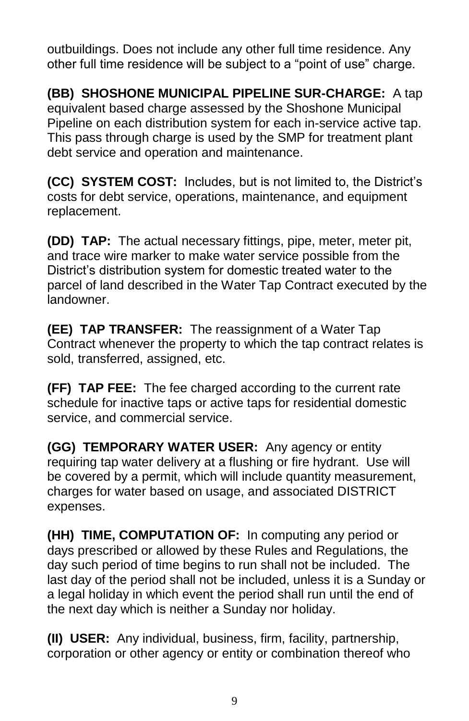outbuildings. Does not include any other full time residence. Any other full time residence will be subject to a "point of use" charge.

**(BB) SHOSHONE MUNICIPAL PIPELINE SUR-CHARGE:** A tap equivalent based charge assessed by the Shoshone Municipal Pipeline on each distribution system for each in-service active tap. This pass through charge is used by the SMP for treatment plant debt service and operation and maintenance.

**(CC) SYSTEM COST:** Includes, but is not limited to, the District's costs for debt service, operations, maintenance, and equipment replacement.

**(DD) TAP:** The actual necessary fittings, pipe, meter, meter pit, and trace wire marker to make water service possible from the District's distribution system for domestic treated water to the parcel of land described in the Water Tap Contract executed by the landowner.

**(EE) TAP TRANSFER:** The reassignment of a Water Tap Contract whenever the property to which the tap contract relates is sold, transferred, assigned, etc.

**(FF) TAP FEE:** The fee charged according to the current rate schedule for inactive taps or active taps for residential domestic service, and commercial service.

**(GG) TEMPORARY WATER USER:** Any agency or entity requiring tap water delivery at a flushing or fire hydrant. Use will be covered by a permit, which will include quantity measurement, charges for water based on usage, and associated DISTRICT expenses.

**(HH) TIME, COMPUTATION OF:** In computing any period or days prescribed or allowed by these Rules and Regulations, the day such period of time begins to run shall not be included. The last day of the period shall not be included, unless it is a Sunday or a legal holiday in which event the period shall run until the end of the next day which is neither a Sunday nor holiday.

**(II) USER:** Any individual, business, firm, facility, partnership, corporation or other agency or entity or combination thereof who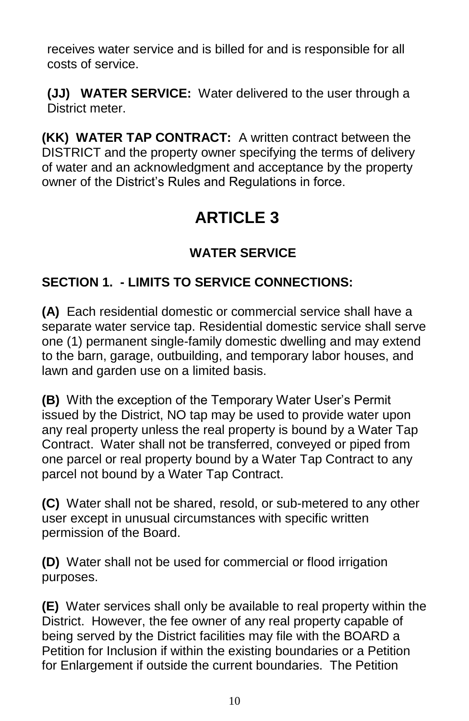receives water service and is billed for and is responsible for all costs of service.

**(JJ) WATER SERVICE:** Water delivered to the user through a District meter.

**(KK) WATER TAP CONTRACT:** A written contract between the DISTRICT and the property owner specifying the terms of delivery of water and an acknowledgment and acceptance by the property owner of the District's Rules and Regulations in force.

# **ARTICLE 3**

# **WATER SERVICE**

# **SECTION 1. - LIMITS TO SERVICE CONNECTIONS:**

**(A)** Each residential domestic or commercial service shall have a separate water service tap. Residential domestic service shall serve one (1) permanent single-family domestic dwelling and may extend to the barn, garage, outbuilding, and temporary labor houses, and lawn and garden use on a limited basis.

**(B)** With the exception of the Temporary Water User's Permit issued by the District, NO tap may be used to provide water upon any real property unless the real property is bound by a Water Tap Contract. Water shall not be transferred, conveyed or piped from one parcel or real property bound by a Water Tap Contract to any parcel not bound by a Water Tap Contract.

**(C)** Water shall not be shared, resold, or sub-metered to any other user except in unusual circumstances with specific written permission of the Board.

**(D)** Water shall not be used for commercial or flood irrigation purposes.

**(E)** Water services shall only be available to real property within the District. However, the fee owner of any real property capable of being served by the District facilities may file with the BOARD a Petition for Inclusion if within the existing boundaries or a Petition for Enlargement if outside the current boundaries. The Petition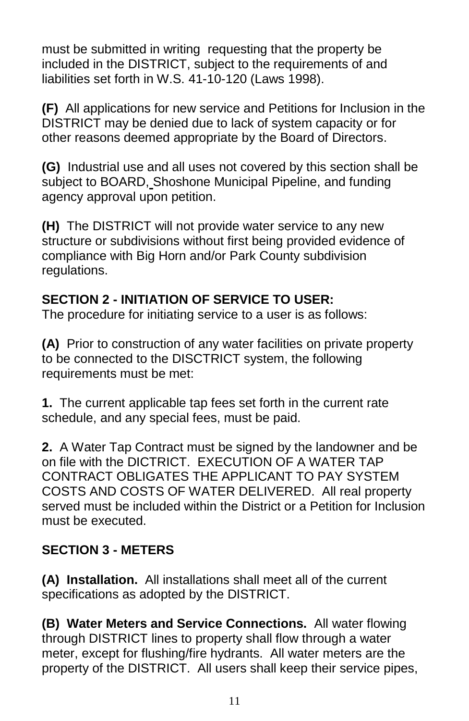must be submitted in writing requesting that the property be included in the DISTRICT, subject to the requirements of and liabilities set forth in W.S. 41-10-120 (Laws 1998).

**(F)** All applications for new service and Petitions for Inclusion in the DISTRICT may be denied due to lack of system capacity or for other reasons deemed appropriate by the Board of Directors.

**(G)** Industrial use and all uses not covered by this section shall be subject to BOARD, Shoshone Municipal Pipeline, and funding agency approval upon petition.

**(H)** The DISTRICT will not provide water service to any new structure or subdivisions without first being provided evidence of compliance with Big Horn and/or Park County subdivision regulations.

# **SECTION 2 - INITIATION OF SERVICE TO USER:**

The procedure for initiating service to a user is as follows:

**(A)** Prior to construction of any water facilities on private property to be connected to the DISCTRICT system, the following requirements must be met:

**1.** The current applicable tap fees set forth in the current rate schedule, and any special fees, must be paid.

**2.** A Water Tap Contract must be signed by the landowner and be on file with the DICTRICT. EXECUTION OF A WATER TAP CONTRACT OBLIGATES THE APPLICANT TO PAY SYSTEM COSTS AND COSTS OF WATER DELIVERED. All real property served must be included within the District or a Petition for Inclusion must be executed.

# **SECTION 3 - METERS**

**(A) Installation.** All installations shall meet all of the current specifications as adopted by the DISTRICT.

**(B) Water Meters and Service Connections.** All water flowing through DISTRICT lines to property shall flow through a water meter, except for flushing/fire hydrants. All water meters are the property of the DISTRICT. All users shall keep their service pipes,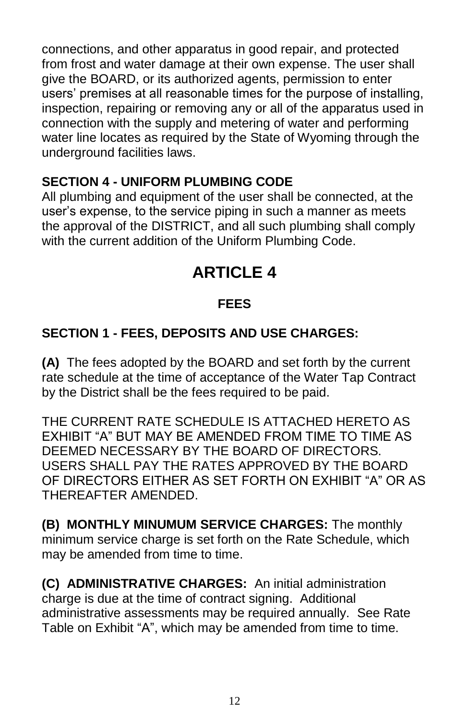connections, and other apparatus in good repair, and protected from frost and water damage at their own expense. The user shall give the BOARD, or its authorized agents, permission to enter users' premises at all reasonable times for the purpose of installing, inspection, repairing or removing any or all of the apparatus used in connection with the supply and metering of water and performing water line locates as required by the State of Wyoming through the underground facilities laws.

### **SECTION 4 - UNIFORM PLUMBING CODE**

All plumbing and equipment of the user shall be connected, at the user's expense, to the service piping in such a manner as meets the approval of the DISTRICT, and all such plumbing shall comply with the current addition of the Uniform Plumbing Code.

# **ARTICLE 4**

# **FEES**

# **SECTION 1 - FEES, DEPOSITS AND USE CHARGES:**

**(A)** The fees adopted by the BOARD and set forth by the current rate schedule at the time of acceptance of the Water Tap Contract by the District shall be the fees required to be paid.

THE CURRENT RATE SCHEDULE IS ATTACHED HERETO AS EXHIBIT "A" BUT MAY BE AMENDED FROM TIME TO TIME AS DEEMED NECESSARY BY THE BOARD OF DIRECTORS. USERS SHALL PAY THE RATES APPROVED BY THE BOARD OF DIRECTORS EITHER AS SET FORTH ON EXHIBIT "A" OR AS THEREAFTER AMENDED.

**(B) MONTHLY MINUMUM SERVICE CHARGES:** The monthly minimum service charge is set forth on the Rate Schedule, which may be amended from time to time.

**(C) ADMINISTRATIVE CHARGES:** An initial administration charge is due at the time of contract signing. Additional administrative assessments may be required annually. See Rate Table on Exhibit "A", which may be amended from time to time.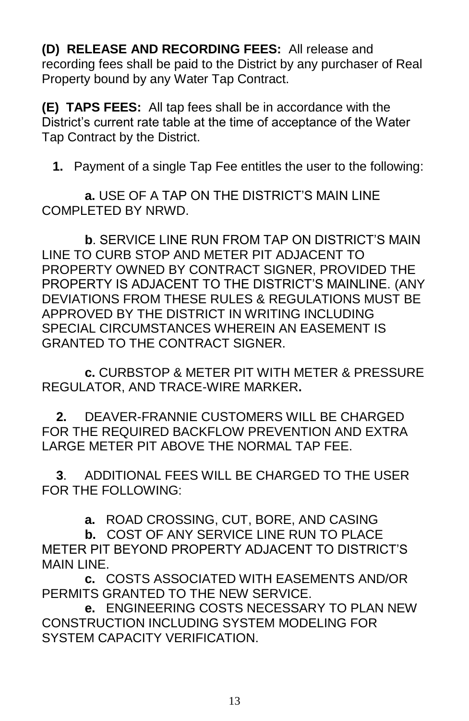**(D) RELEASE AND RECORDING FEES:** All release and recording fees shall be paid to the District by any purchaser of Real Property bound by any Water Tap Contract.

**(E) TAPS FEES:** All tap fees shall be in accordance with the District's current rate table at the time of acceptance of the Water Tap Contract by the District.

 **1.** Payment of a single Tap Fee entitles the user to the following:

 **a.** USE OF A TAP ON THE DISTRICT'S MAIN LINE COMPLETED BY NRWD.

 **b**. SERVICE LINE RUN FROM TAP ON DISTRICT'S MAIN LINE TO CURB STOP AND METER PIT ADJACENT TO PROPERTY OWNED BY CONTRACT SIGNER, PROVIDED THE PROPERTY IS ADJACENT TO THE DISTRICT'S MAINLINE. (ANY DEVIATIONS FROM THESE RULES & REGULATIONS MUST BE APPROVED BY THE DISTRICT IN WRITING INCLUDING SPECIAL CIRCUMSTANCES WHEREIN AN EASEMENT IS GRANTED TO THE CONTRACT SIGNER.

 **c.** CURBSTOP & METER PIT WITH METER & PRESSURE REGULATOR, AND TRACE-WIRE MARKER**.**

 **2.**DEAVER-FRANNIE CUSTOMERS WILL BE CHARGED FOR THE REQUIRED BACKFLOW PREVENTION AND EXTRA LARGE METER PIT ABOVE THE NORMAL TAP FEE.

 **3**. ADDITIONAL FEES WILL BE CHARGED TO THE USER FOR THE FOLLOWING:

**a.** ROAD CROSSING, CUT, BORE, AND CASING

 **b.** COST OF ANY SERVICE LINE RUN TO PLACE METER PIT BEYOND PROPERTY ADJACENT TO DISTRICT'S MAIN LINE

 **c.** COSTS ASSOCIATED WITH EASEMENTS AND/OR PERMITS GRANTED TO THE NEW SERVICE.

 **e.** ENGINEERING COSTS NECESSARY TO PLAN NEW CONSTRUCTION INCLUDING SYSTEM MODELING FOR SYSTEM CAPACITY VERIFICATION.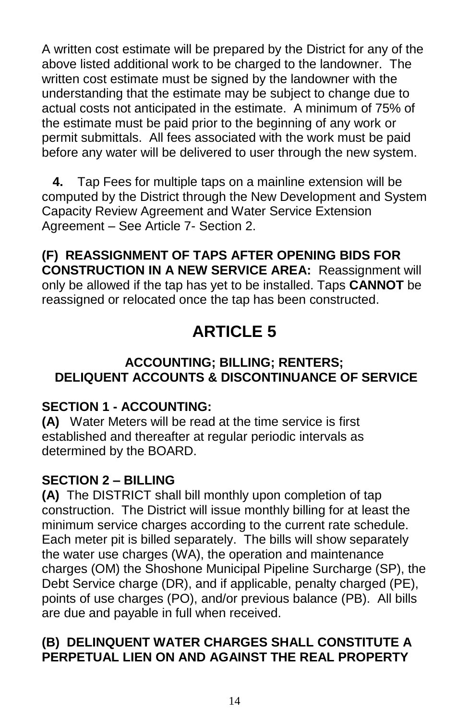A written cost estimate will be prepared by the District for any of the above listed additional work to be charged to the landowner. The written cost estimate must be signed by the landowner with the understanding that the estimate may be subject to change due to actual costs not anticipated in the estimate. A minimum of 75% of the estimate must be paid prior to the beginning of any work or permit submittals. All fees associated with the work must be paid before any water will be delivered to user through the new system.

 **4.** Tap Fees for multiple taps on a mainline extension will be computed by the District through the New Development and System Capacity Review Agreement and Water Service Extension Agreement – See Article 7- Section 2.

**(F) REASSIGNMENT OF TAPS AFTER OPENING BIDS FOR CONSTRUCTION IN A NEW SERVICE AREA:** Reassignment will only be allowed if the tap has yet to be installed. Taps **CANNOT** be reassigned or relocated once the tap has been constructed.

# **ARTICLE 5**

### **ACCOUNTING; BILLING; RENTERS; DELIQUENT ACCOUNTS & DISCONTINUANCE OF SERVICE**

# **SECTION 1 - ACCOUNTING:**

**(A)** Water Meters will be read at the time service is first established and thereafter at regular periodic intervals as determined by the BOARD.

# **SECTION 2 – BILLING**

**(A)** The DISTRICT shall bill monthly upon completion of tap construction. The District will issue monthly billing for at least the minimum service charges according to the current rate schedule. Each meter pit is billed separately. The bills will show separately the water use charges (WA), the operation and maintenance charges (OM) the Shoshone Municipal Pipeline Surcharge (SP), the Debt Service charge (DR), and if applicable, penalty charged (PE), points of use charges (PO), and/or previous balance (PB). All bills are due and payable in full when received.

# **(B) DELINQUENT WATER CHARGES SHALL CONSTITUTE A PERPETUAL LIEN ON AND AGAINST THE REAL PROPERTY**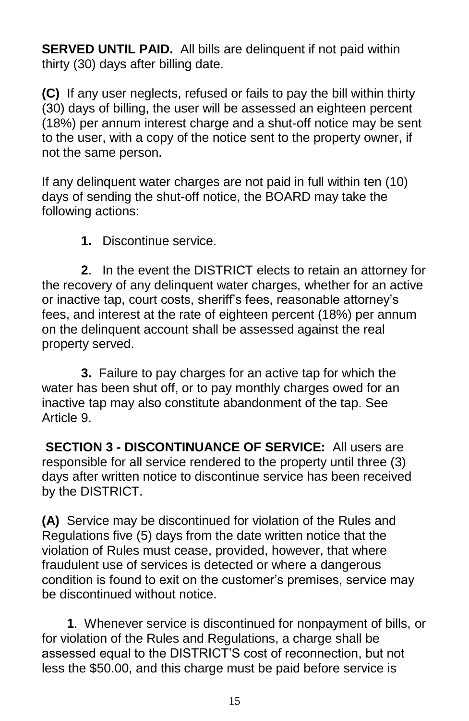**SERVED UNTIL PAID.** All bills are delinquent if not paid within thirty (30) days after billing date.

**(C)** If any user neglects, refused or fails to pay the bill within thirty (30) days of billing, the user will be assessed an eighteen percent (18%) per annum interest charge and a shut-off notice may be sent to the user, with a copy of the notice sent to the property owner, if not the same person.

If any delinquent water charges are not paid in full within ten (10) days of sending the shut-off notice, the BOARD may take the following actions:

**1.** Discontinue service.

 **2**. In the event the DISTRICT elects to retain an attorney for the recovery of any delinquent water charges, whether for an active or inactive tap, court costs, sheriff's fees, reasonable attorney's fees, and interest at the rate of eighteen percent (18%) per annum on the delinquent account shall be assessed against the real property served.

 **3.** Failure to pay charges for an active tap for which the water has been shut off, or to pay monthly charges owed for an inactive tap may also constitute abandonment of the tap. See Article 9.

**SECTION 3 - DISCONTINUANCE OF SERVICE:** All users are responsible for all service rendered to the property until three (3) days after written notice to discontinue service has been received by the DISTRICT.

**(A)** Service may be discontinued for violation of the Rules and Regulations five (5) days from the date written notice that the violation of Rules must cease, provided, however, that where fraudulent use of services is detected or where a dangerous condition is found to exit on the customer's premises, service may be discontinued without notice.

 **1**. Whenever service is discontinued for nonpayment of bills, or for violation of the Rules and Regulations, a charge shall be assessed equal to the DISTRICT'S cost of reconnection, but not less the \$50.00, and this charge must be paid before service is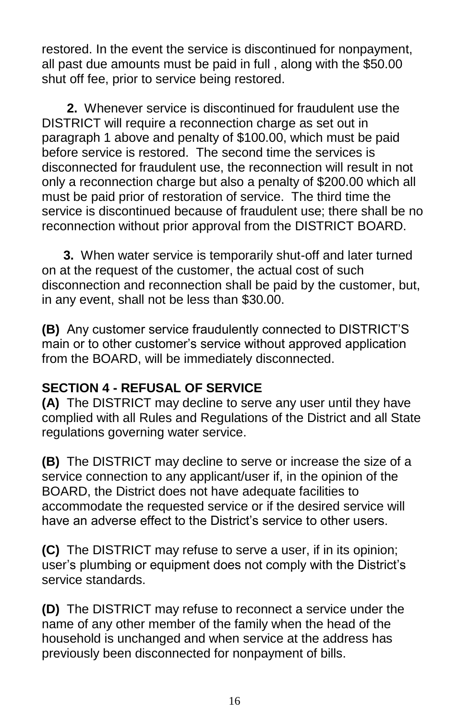restored. In the event the service is discontinued for nonpayment, all past due amounts must be paid in full , along with the \$50.00 shut off fee, prior to service being restored.

 **2.** Whenever service is discontinued for fraudulent use the DISTRICT will require a reconnection charge as set out in paragraph 1 above and penalty of \$100.00, which must be paid before service is restored. The second time the services is disconnected for fraudulent use, the reconnection will result in not only a reconnection charge but also a penalty of \$200.00 which all must be paid prior of restoration of service. The third time the service is discontinued because of fraudulent use; there shall be no reconnection without prior approval from the DISTRICT BOARD.

 **3.** When water service is temporarily shut-off and later turned on at the request of the customer, the actual cost of such disconnection and reconnection shall be paid by the customer, but, in any event, shall not be less than \$30.00.

**(B)** Any customer service fraudulently connected to DISTRICT'S main or to other customer's service without approved application from the BOARD, will be immediately disconnected.

# **SECTION 4 - REFUSAL OF SERVICE**

**(A)** The DISTRICT may decline to serve any user until they have complied with all Rules and Regulations of the District and all State regulations governing water service.

**(B)** The DISTRICT may decline to serve or increase the size of a service connection to any applicant/user if, in the opinion of the BOARD, the District does not have adequate facilities to accommodate the requested service or if the desired service will have an adverse effect to the District's service to other users.

**(C)** The DISTRICT may refuse to serve a user, if in its opinion; user's plumbing or equipment does not comply with the District's service standards.

**(D)** The DISTRICT may refuse to reconnect a service under the name of any other member of the family when the head of the household is unchanged and when service at the address has previously been disconnected for nonpayment of bills.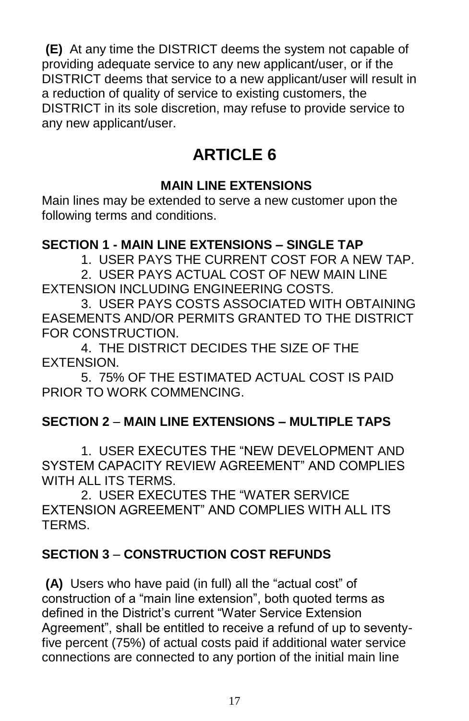**(E)** At any time the DISTRICT deems the system not capable of providing adequate service to any new applicant/user, or if the DISTRICT deems that service to a new applicant/user will result in a reduction of quality of service to existing customers, the DISTRICT in its sole discretion, may refuse to provide service to any new applicant/user.

# **ARTICLE 6**

# **MAIN LINE EXTENSIONS**

Main lines may be extended to serve a new customer upon the following terms and conditions.

### **SECTION 1 - MAIN LINE EXTENSIONS – SINGLE TAP**

1. USER PAYS THE CURRENT COST FOR A NEW TAP.

 2. USER PAYS ACTUAL COST OF NEW MAIN LINE EXTENSION INCLUDING ENGINEERING COSTS.

 3. USER PAYS COSTS ASSOCIATED WITH OBTAINING EASEMENTS AND/OR PERMITS GRANTED TO THE DISTRICT FOR CONSTRUCTION.

 4. THE DISTRICT DECIDES THE SIZE OF THE EXTENSION.

 5. 75% OF THE ESTIMATED ACTUAL COST IS PAID PRIOR TO WORK COMMENCING.

### **SECTION 2** – **MAIN LINE EXTENSIONS – MULTIPLE TAPS**

 1. USER EXECUTES THE "NEW DEVELOPMENT AND SYSTEM CAPACITY REVIEW AGREEMENT" AND COMPLIES WITH ALL ITS TERMS.

 2. USER EXECUTES THE "WATER SERVICE EXTENSION AGREEMENT" AND COMPLIES WITH ALL ITS TERMS.

# **SECTION 3** – **CONSTRUCTION COST REFUNDS**

**(A)** Users who have paid (in full) all the "actual cost" of construction of a "main line extension", both quoted terms as defined in the District's current "Water Service Extension Agreement", shall be entitled to receive a refund of up to seventyfive percent (75%) of actual costs paid if additional water service connections are connected to any portion of the initial main line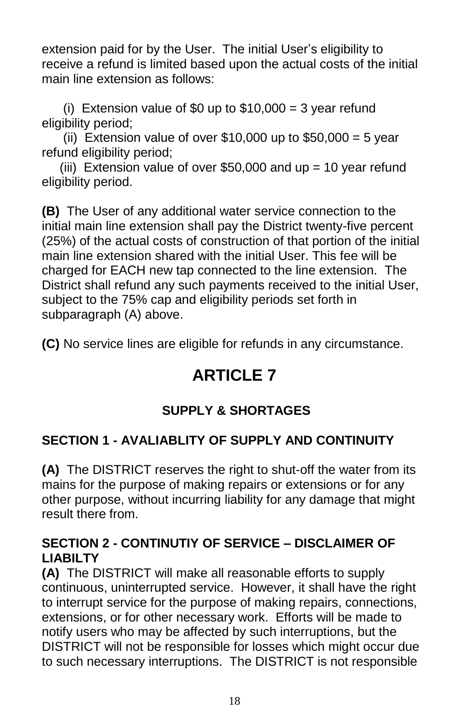extension paid for by the User. The initial User's eligibility to receive a refund is limited based upon the actual costs of the initial main line extension as follows:

(i) Extension value of \$0 up to  $$10,000 = 3$  year refund eligibility period;

(ii) Extension value of over  $$10,000$  up to  $$50,000 = 5$  year refund eligibility period;

(iii) Extension value of over \$50,000 and  $up = 10$  year refund eligibility period.

**(B)** The User of any additional water service connection to the initial main line extension shall pay the District twenty-five percent (25%) of the actual costs of construction of that portion of the initial main line extension shared with the initial User. This fee will be charged for EACH new tap connected to the line extension. The District shall refund any such payments received to the initial User, subject to the 75% cap and eligibility periods set forth in subparagraph (A) above.

**(C)** No service lines are eligible for refunds in any circumstance.

# **ARTICLE 7**

# **SUPPLY & SHORTAGES**

# **SECTION 1 - AVALIABLITY OF SUPPLY AND CONTINUITY**

**(A)** The DISTRICT reserves the right to shut-off the water from its mains for the purpose of making repairs or extensions or for any other purpose, without incurring liability for any damage that might result there from.

### **SECTION 2 - CONTINUTIY OF SERVICE – DISCLAIMER OF LIABILTY**

**(A)** The DISTRICT will make all reasonable efforts to supply continuous, uninterrupted service. However, it shall have the right to interrupt service for the purpose of making repairs, connections, extensions, or for other necessary work. Efforts will be made to notify users who may be affected by such interruptions, but the DISTRICT will not be responsible for losses which might occur due to such necessary interruptions. The DISTRICT is not responsible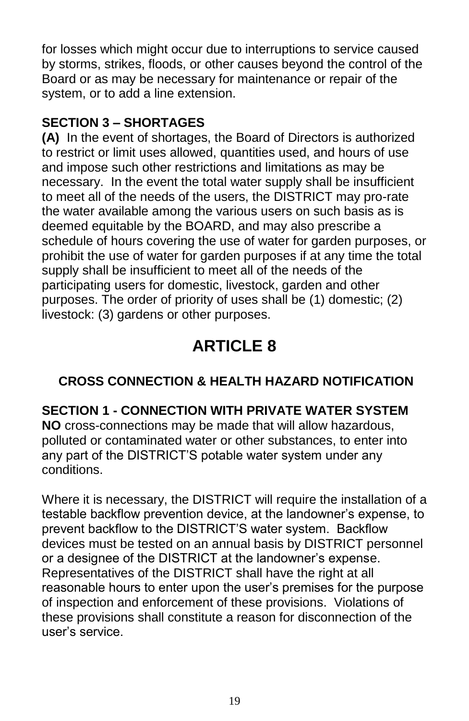for losses which might occur due to interruptions to service caused by storms, strikes, floods, or other causes beyond the control of the Board or as may be necessary for maintenance or repair of the system, or to add a line extension.

### **SECTION 3 – SHORTAGES**

**(A)** In the event of shortages, the Board of Directors is authorized to restrict or limit uses allowed, quantities used, and hours of use and impose such other restrictions and limitations as may be necessary. In the event the total water supply shall be insufficient to meet all of the needs of the users, the DISTRICT may pro-rate the water available among the various users on such basis as is deemed equitable by the BOARD, and may also prescribe a schedule of hours covering the use of water for garden purposes, or prohibit the use of water for garden purposes if at any time the total supply shall be insufficient to meet all of the needs of the participating users for domestic, livestock, garden and other purposes. The order of priority of uses shall be (1) domestic; (2) livestock: (3) gardens or other purposes.

# **ARTICLE 8**

# **CROSS CONNECTION & HEALTH HAZARD NOTIFICATION**

**SECTION 1 - CONNECTION WITH PRIVATE WATER SYSTEM**

**NO** cross-connections may be made that will allow hazardous, polluted or contaminated water or other substances, to enter into any part of the DISTRICT'S potable water system under any conditions.

Where it is necessary, the DISTRICT will require the installation of a testable backflow prevention device, at the landowner's expense, to prevent backflow to the DISTRICT'S water system. Backflow devices must be tested on an annual basis by DISTRICT personnel or a designee of the DISTRICT at the landowner's expense. Representatives of the DISTRICT shall have the right at all reasonable hours to enter upon the user's premises for the purpose of inspection and enforcement of these provisions. Violations of these provisions shall constitute a reason for disconnection of the user's service.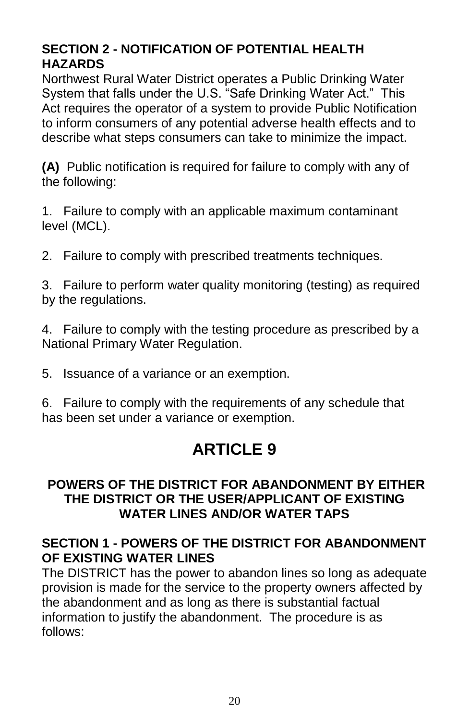# **SECTION 2 - NOTIFICATION OF POTENTIAL HEALTH HAZARDS**

Northwest Rural Water District operates a Public Drinking Water System that falls under the U.S. "Safe Drinking Water Act." This Act requires the operator of a system to provide Public Notification to inform consumers of any potential adverse health effects and to describe what steps consumers can take to minimize the impact.

**(A)** Public notification is required for failure to comply with any of the following:

1. Failure to comply with an applicable maximum contaminant level (MCL).

2. Failure to comply with prescribed treatments techniques.

3. Failure to perform water quality monitoring (testing) as required by the regulations.

4. Failure to comply with the testing procedure as prescribed by a National Primary Water Regulation.

5. Issuance of a variance or an exemption.

6. Failure to comply with the requirements of any schedule that has been set under a variance or exemption.

# **ARTICLE 9**

### **POWERS OF THE DISTRICT FOR ABANDONMENT BY EITHER THE DISTRICT OR THE USER/APPLICANT OF EXISTING WATER LINES AND/OR WATER TAPS**

### **SECTION 1 - POWERS OF THE DISTRICT FOR ABANDONMENT OF EXISTING WATER LINES**

The DISTRICT has the power to abandon lines so long as adequate provision is made for the service to the property owners affected by the abandonment and as long as there is substantial factual information to justify the abandonment. The procedure is as follows: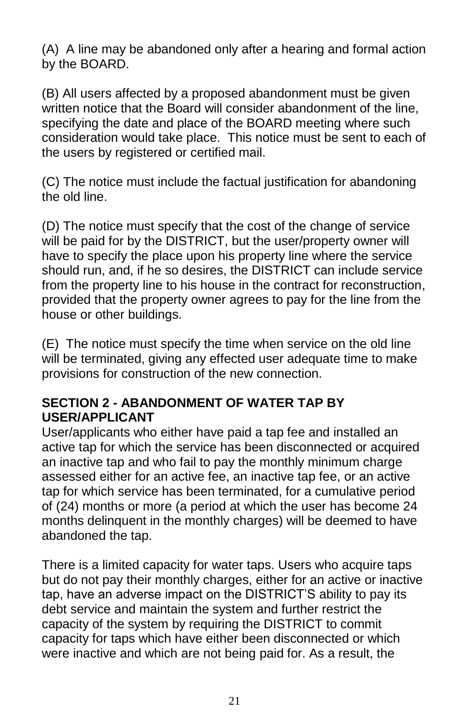(A) A line may be abandoned only after a hearing and formal action by the BOARD.

(B) All users affected by a proposed abandonment must be given written notice that the Board will consider abandonment of the line, specifying the date and place of the BOARD meeting where such consideration would take place. This notice must be sent to each of the users by registered or certified mail.

(C) The notice must include the factual justification for abandoning the old line.

(D) The notice must specify that the cost of the change of service will be paid for by the DISTRICT, but the user/property owner will have to specify the place upon his property line where the service should run, and, if he so desires, the DISTRICT can include service from the property line to his house in the contract for reconstruction, provided that the property owner agrees to pay for the line from the house or other buildings.

(E) The notice must specify the time when service on the old line will be terminated, giving any effected user adequate time to make provisions for construction of the new connection.

#### **SECTION 2 - ABANDONMENT OF WATER TAP BY USER/APPLICANT**

User/applicants who either have paid a tap fee and installed an active tap for which the service has been disconnected or acquired an inactive tap and who fail to pay the monthly minimum charge assessed either for an active fee, an inactive tap fee, or an active tap for which service has been terminated, for a cumulative period of (24) months or more (a period at which the user has become 24 months delinquent in the monthly charges) will be deemed to have abandoned the tap.

There is a limited capacity for water taps. Users who acquire taps but do not pay their monthly charges, either for an active or inactive tap, have an adverse impact on the DISTRICT'S ability to pay its debt service and maintain the system and further restrict the capacity of the system by requiring the DISTRICT to commit capacity for taps which have either been disconnected or which were inactive and which are not being paid for. As a result, the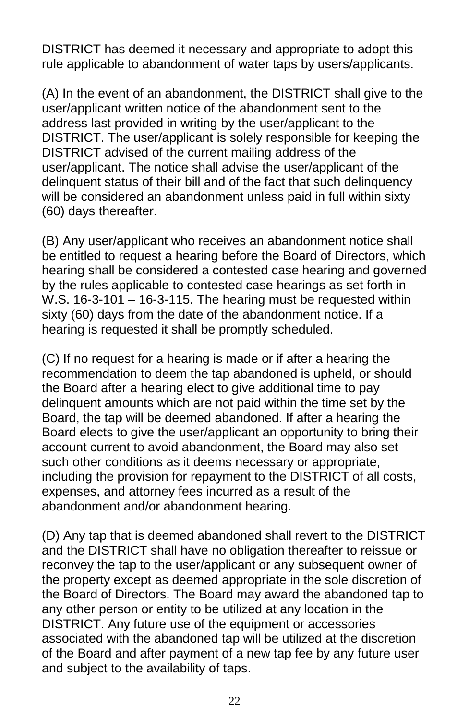DISTRICT has deemed it necessary and appropriate to adopt this rule applicable to abandonment of water taps by users/applicants.

(A) In the event of an abandonment, the DISTRICT shall give to the user/applicant written notice of the abandonment sent to the address last provided in writing by the user/applicant to the DISTRICT. The user/applicant is solely responsible for keeping the DISTRICT advised of the current mailing address of the user/applicant. The notice shall advise the user/applicant of the delinquent status of their bill and of the fact that such delinquency will be considered an abandonment unless paid in full within sixty (60) days thereafter.

(B) Any user/applicant who receives an abandonment notice shall be entitled to request a hearing before the Board of Directors, which hearing shall be considered a contested case hearing and governed by the rules applicable to contested case hearings as set forth in W.S. 16-3-101 – 16-3-115. The hearing must be requested within sixty (60) days from the date of the abandonment notice. If a hearing is requested it shall be promptly scheduled.

(C) If no request for a hearing is made or if after a hearing the recommendation to deem the tap abandoned is upheld, or should the Board after a hearing elect to give additional time to pay delinquent amounts which are not paid within the time set by the Board, the tap will be deemed abandoned. If after a hearing the Board elects to give the user/applicant an opportunity to bring their account current to avoid abandonment, the Board may also set such other conditions as it deems necessary or appropriate, including the provision for repayment to the DISTRICT of all costs, expenses, and attorney fees incurred as a result of the abandonment and/or abandonment hearing.

(D) Any tap that is deemed abandoned shall revert to the DISTRICT and the DISTRICT shall have no obligation thereafter to reissue or reconvey the tap to the user/applicant or any subsequent owner of the property except as deemed appropriate in the sole discretion of the Board of Directors. The Board may award the abandoned tap to any other person or entity to be utilized at any location in the DISTRICT. Any future use of the equipment or accessories associated with the abandoned tap will be utilized at the discretion of the Board and after payment of a new tap fee by any future user and subject to the availability of taps.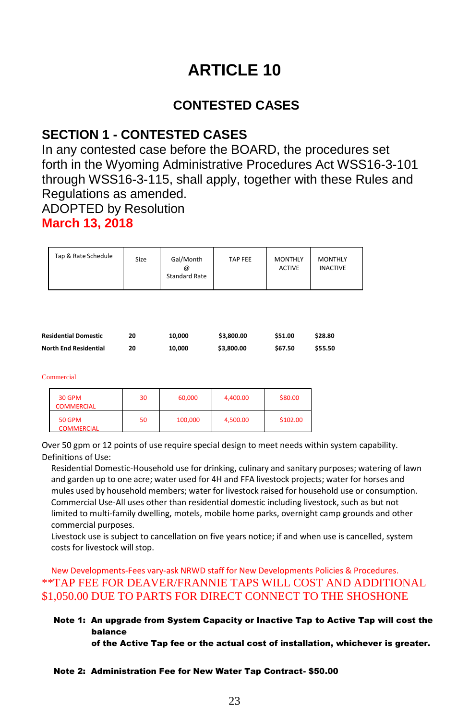# **ARTICLE 10**

#### **CONTESTED CASES**

#### **SECTION 1 - CONTESTED CASES**

In any contested case before the BOARD, the procedures set forth in the Wyoming Administrative Procedures Act WSS16-3-101 through WSS16-3-115, shall apply, together with these Rules and Regulations as amended.

ADOPTED by Resolution

#### **March 13, 2018**

| Tap & Rate Schedule | Size | Gal/Month<br>@<br><b>Standard Rate</b> | TAP FEE | <b>MONTHLY</b><br><b>ACTIVE</b> | <b>MONTHLY</b><br><b>INACTIVE</b> |
|---------------------|------|----------------------------------------|---------|---------------------------------|-----------------------------------|
|---------------------|------|----------------------------------------|---------|---------------------------------|-----------------------------------|

| <b>Residential Domestic</b>  | 20 | 10.000 | \$3,800.00 | \$51.00 | \$28.80 |
|------------------------------|----|--------|------------|---------|---------|
| <b>North End Residential</b> | 20 | 10.000 | \$3,800.00 | \$67.50 | \$55.50 |

#### Commercial

| 30 GPM<br><b>COMMERCIAL</b>        | 30 | 60,000  | 4,400.00 | \$80.00  |
|------------------------------------|----|---------|----------|----------|
| <b>50 GPM</b><br><b>COMMERCIAL</b> | 50 | 100,000 | 4,500.00 | \$102.00 |

Over 50 gpm or 12 points of use require special design to meet needs within system capability. Definitions of Use:

Residential Domestic-Household use for drinking, culinary and sanitary purposes; watering of lawn and garden up to one acre; water used for 4H and FFA livestock projects; water for horses and mules used by household members; water for livestock raised for household use or consumption. Commercial Use-All uses other than residential domestic including livestock, such as but not limited to multi-family dwelling, motels, mobile home parks, overnight camp grounds and other commercial purposes.

Livestock use is subject to cancellation on five years notice; if and when use is cancelled, system costs for livestock will stop.

#### New Developments-Fees vary-ask NRWD staff for New Developments Policies & Procedures. \*\*TAP FEE FOR DEAVER/FRANNIE TAPS WILL COST AND ADDITIONAL \$1,050.00 DUE TO PARTS FOR DIRECT CONNECT TO THE SHOSHONE

#### Note 1: An upgrade from System Capacity or Inactive Tap to Active Tap will cost the balance

of the Active Tap fee or the actual cost of installation, whichever is greater.

#### Note 2: Administration Fee for New Water Tap Contract- \$50.00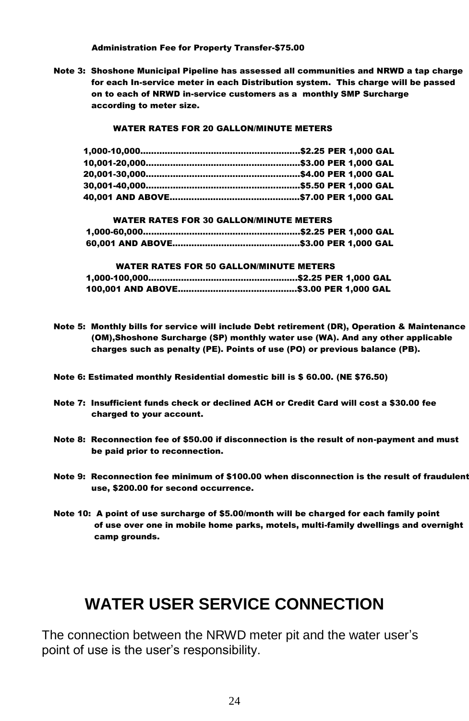Administration Fee for Property Transfer-\$75.00

Note 3: Shoshone Municipal Pipeline has assessed all communities and NRWD a tap charge for each In-service meter in each Distribution system. This charge will be passed on to each of NRWD in-service customers as a monthly SMP Surcharge according to meter size.

#### WATER RATES FOR 20 GALLON/MINUTE METERS

| <b>WATER RATES FOR 30 GALLON/MINUTE METERS</b> |  |  |
|------------------------------------------------|--|--|
|                                                |  |  |
|                                                |  |  |

#### WATER RATES FOR 50 GALLON/MINUTE METERS 1,000-100,000……………………………………………….\$2.25 PER 1,000 GAL 100,001 AND ABOVE……………………………………..\$3.00 PER 1,000 GAL

- Note 5: Monthly bills for service will include Debt retirement (DR), Operation & Maintenance (OM),Shoshone Surcharge (SP) monthly water use (WA). And any other applicable charges such as penalty (PE). Points of use (PO) or previous balance (PB).
- Note 6: Estimated monthly Residential domestic bill is \$ 60.00. (NE \$76.50)
- Note 7: Insufficient funds check or declined ACH or Credit Card will cost a \$30.00 fee charged to your account.
- Note 8: Reconnection fee of \$50.00 if disconnection is the result of non-payment and must be paid prior to reconnection.
- Note 9: Reconnection fee minimum of \$100.00 when disconnection is the result of fraudulent use, \$200.00 for second occurrence.
- Note 10: A point of use surcharge of \$5.00/month will be charged for each family point of use over one in mobile home parks, motels, multi-family dwellings and overnight camp grounds.

# **WATER USER SERVICE CONNECTION**

The connection between the NRWD meter pit and the water user's point of use is the user's responsibility.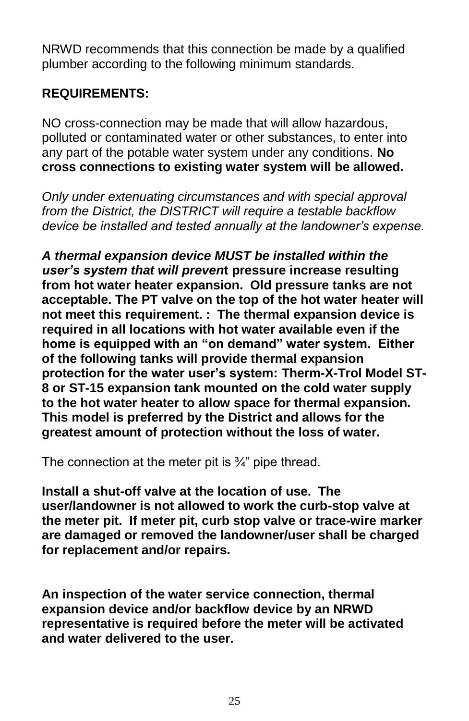NRWD recommends that this connection be made by a qualified plumber according to the following minimum standards.

#### **REQUIREMENTS:**

NO cross-connection may be made that will allow hazardous, polluted or contaminated water or other substances, to enter into any part of the potable water system under any conditions. **No cross connections to existing water system will be allowed.**

*Only under extenuating circumstances and with special approval from the District, the DISTRICT will require a testable backflow device be installed and tested annually at the landowner's expense.* 

*A thermal expansion device MUST be installed within the user's system that will preven***t pressure increase resulting from hot water heater expansion. Old pressure tanks are not acceptable. The PT valve on the top of the hot water heater will not meet this requirement. : The thermal expansion device is required in all locations with hot water available even if the home is equipped with an "on demand" water system. Either of the following tanks will provide thermal expansion protection for the water user's system: Therm-X-Trol Model ST-8 or ST-15 expansion tank mounted on the cold water supply to the hot water heater to allow space for thermal expansion. This model is preferred by the District and allows for the greatest amount of protection without the loss of water.**

The connection at the meter pit is ¾" pipe thread.

**Install a shut-off valve at the location of use. The user/landowner is not allowed to work the curb-stop valve at the meter pit. If meter pit, curb stop valve or trace-wire marker are damaged or removed the landowner/user shall be charged for replacement and/or repairs.**

**An inspection of the water service connection, thermal expansion device and/or backflow device by an NRWD representative is required before the meter will be activated and water delivered to the user.**